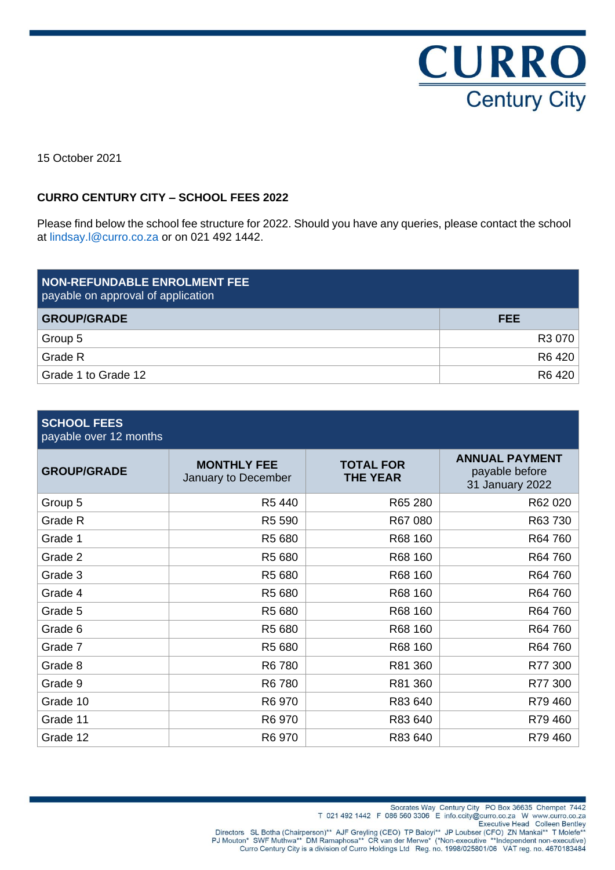

15 October 2021

## **CURRO CENTURY CITY – SCHOOL FEES 2022**

Please find below the school fee structure for 2022. Should you have any queries, please contact the school at lindsay.l@curro.co.za or on 021 492 1442.

| <b>NON-REFUNDABLE ENROLMENT FEE</b><br>payable on approval of application |            |
|---------------------------------------------------------------------------|------------|
| <b>GROUP/GRADE</b>                                                        | <b>FEE</b> |
| Group 5                                                                   | R3 070     |
| Grade R                                                                   | R6 420     |
| Grade 1 to Grade 12                                                       | R6 420     |

#### **SCHOOL FEES** payable over 12 months

| <b>GROUP/GRADE</b> | <b>MONTHLY FEE</b><br>January to December | <b>TOTAL FOR</b><br><b>THE YEAR</b> | <b>ANNUAL PAYMENT</b><br>payable before<br>31 January 2022 |
|--------------------|-------------------------------------------|-------------------------------------|------------------------------------------------------------|
| Group 5            | R5 440                                    | R65 280                             | R62 020                                                    |
| Grade R            | R5 590                                    | R67 080                             | R63 730                                                    |
| Grade 1            | R5 680                                    | R68 160                             | R64 760                                                    |
| Grade 2            | R5 680                                    | R68 160                             | R64 760                                                    |
| Grade 3            | R5 680                                    | R68 160                             | R64 760                                                    |
| Grade 4            | R5 680                                    | R68 160                             | R64 760                                                    |
| Grade 5            | R5 680                                    | R68 160                             | R64 760                                                    |
| Grade 6            | R5 680                                    | R68 160                             | R64 760                                                    |
| Grade 7            | R5 680                                    | R68 160                             | R64 760                                                    |
| Grade 8            | R6 780                                    | R81 360                             | R77 300                                                    |
| Grade 9            | R6 780                                    | R81 360                             | R77 300                                                    |
| Grade 10           | R6 970                                    | R83 640                             | R79460                                                     |
| Grade 11           | R6 970                                    | R83 640                             | R79 460                                                    |
| Grade 12           | R6 970                                    | R83 640                             | R79 460                                                    |

Socrates Way Century City PO Box 36635 Chempet 7442<br>T 021 492 1442 F 086 560 3306 E info.ccity@curro.co.za W www.curro.co.za<br>Executive Head Colleen Bentley<br>PJ Mouton\* SWF Muthwa\*\* DM Ramaphosa\*\* CR van der Merwe\* (\*Non-exe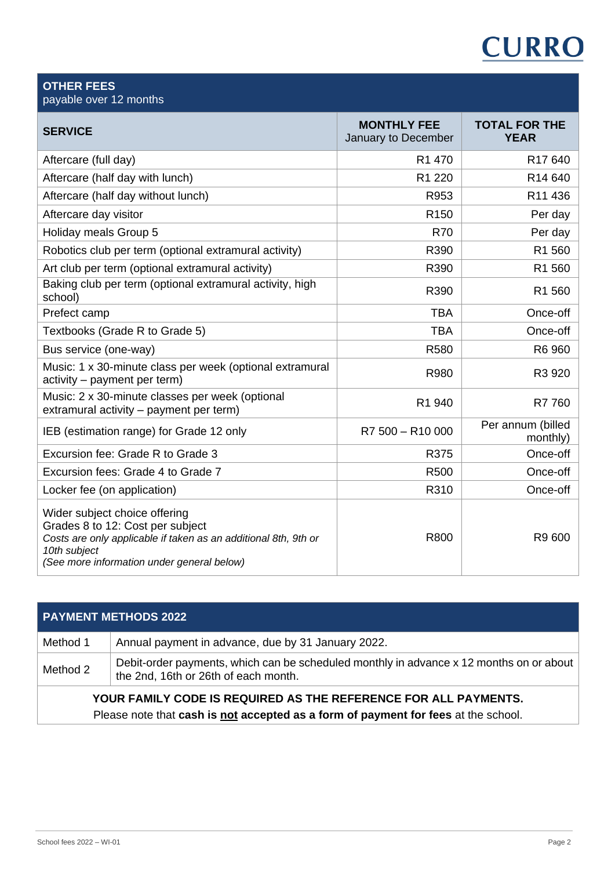# **CURRO**

| <b>OTHER FEES</b><br>payable over 12 months                                                                                                                                                        |                                           |                                     |
|----------------------------------------------------------------------------------------------------------------------------------------------------------------------------------------------------|-------------------------------------------|-------------------------------------|
| <b>SERVICE</b>                                                                                                                                                                                     | <b>MONTHLY FEE</b><br>January to December | <b>TOTAL FOR THE</b><br><b>YEAR</b> |
| Aftercare (full day)                                                                                                                                                                               | R1 470                                    | R <sub>17</sub> 640                 |
| Aftercare (half day with lunch)                                                                                                                                                                    | R1 220                                    | R <sub>14</sub> 640                 |
| Aftercare (half day without lunch)                                                                                                                                                                 | R953                                      | R11 436                             |
| Aftercare day visitor                                                                                                                                                                              | R <sub>150</sub>                          | Per day                             |
| Holiday meals Group 5                                                                                                                                                                              | <b>R70</b>                                | Per day                             |
| Robotics club per term (optional extramural activity)                                                                                                                                              | R390                                      | R1 560                              |
| Art club per term (optional extramural activity)                                                                                                                                                   | R390                                      | R1 560                              |
| Baking club per term (optional extramural activity, high<br>school)                                                                                                                                | R390                                      | R1 560                              |
| Prefect camp                                                                                                                                                                                       | <b>TBA</b>                                | Once-off                            |
| Textbooks (Grade R to Grade 5)                                                                                                                                                                     | <b>TBA</b>                                | Once-off                            |
| Bus service (one-way)                                                                                                                                                                              | R580                                      | R6 960                              |
| Music: 1 x 30-minute class per week (optional extramural<br>activity - payment per term)                                                                                                           | R980                                      | R3 920                              |
| Music: 2 x 30-minute classes per week (optional<br>extramural activity - payment per term)                                                                                                         | R1 940                                    | R7 760                              |
| IEB (estimation range) for Grade 12 only                                                                                                                                                           | R7 500 - R10 000                          | Per annum (billed<br>monthly)       |
| Excursion fee: Grade R to Grade 3                                                                                                                                                                  | R375                                      | Once-off                            |
| Excursion fees: Grade 4 to Grade 7                                                                                                                                                                 | R500                                      | Once-off                            |
| Locker fee (on application)                                                                                                                                                                        | R310                                      | Once-off                            |
| Wider subject choice offering<br>Grades 8 to 12: Cost per subject<br>Costs are only applicable if taken as an additional 8th, 9th or<br>10th subject<br>(See more information under general below) | R800                                      | R9 600                              |

| <b>PAYMENT METHODS 2022</b>                                   |                                                                                                                                 |  |
|---------------------------------------------------------------|---------------------------------------------------------------------------------------------------------------------------------|--|
| Method 1                                                      | Annual payment in advance, due by 31 January 2022.                                                                              |  |
| Method 2                                                      | Debit-order payments, which can be scheduled monthly in advance x 12 months on or about<br>the 2nd, 16th or 26th of each month. |  |
| VAUR FAMU V AARF IA REAURER AA TUF REFERENAE FAR ALL RAVMENTA |                                                                                                                                 |  |

# **YOUR FAMILY CODE IS REQUIRED AS THE REFERENCE FOR ALL PAYMENTS.** Please note that **cash is not accepted as a form of payment for fees** at the school.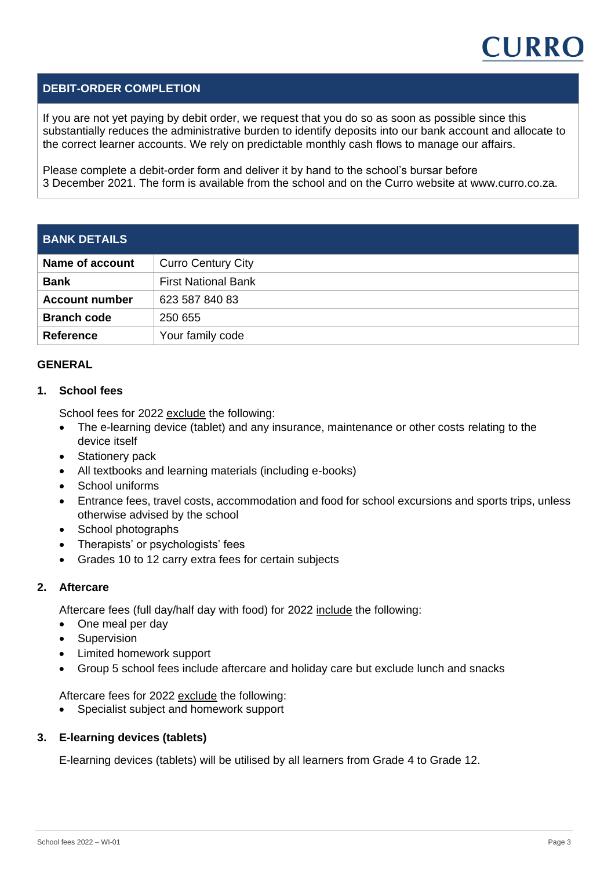

## **DEBIT-ORDER COMPLETION**

If you are not yet paying by debit order, we request that you do so as soon as possible since this substantially reduces the administrative burden to identify deposits into our bank account and allocate to the correct learner accounts. We rely on predictable monthly cash flows to manage our affairs.

Please complete a debit-order form and deliver it by hand to the school's bursar before 3 December 2021. The form is available from the school and on the Curro website at www.curro.co.za.

| <b>BANK DETAILS</b>    |                            |  |  |
|------------------------|----------------------------|--|--|
| <b>Name of account</b> | <b>Curro Century City</b>  |  |  |
| <b>Bank</b>            | <b>First National Bank</b> |  |  |
| <b>Account number</b>  | 623 587 840 83             |  |  |
| <b>Branch code</b>     | 250 655                    |  |  |
| <b>Reference</b>       | Your family code           |  |  |

#### **GENERAL**

## **1. School fees**

School fees for 2022 exclude the following:

- The e-learning device (tablet) and any insurance, maintenance or other costs relating to the device itself
- Stationery pack
- All textbooks and learning materials (including e-books)
- School uniforms
- Entrance fees, travel costs, accommodation and food for school excursions and sports trips, unless otherwise advised by the school
- School photographs
- Therapists' or psychologists' fees
- Grades 10 to 12 carry extra fees for certain subjects

## **2. Aftercare**

Aftercare fees (full day/half day with food) for 2022 include the following:

- One meal per day
- Supervision
- Limited homework support
- Group 5 school fees include aftercare and holiday care but exclude lunch and snacks

Aftercare fees for 2022 exclude the following:

• Specialist subject and homework support

#### **3. E-learning devices (tablets)**

E-learning devices (tablets) will be utilised by all learners from Grade 4 to Grade 12.